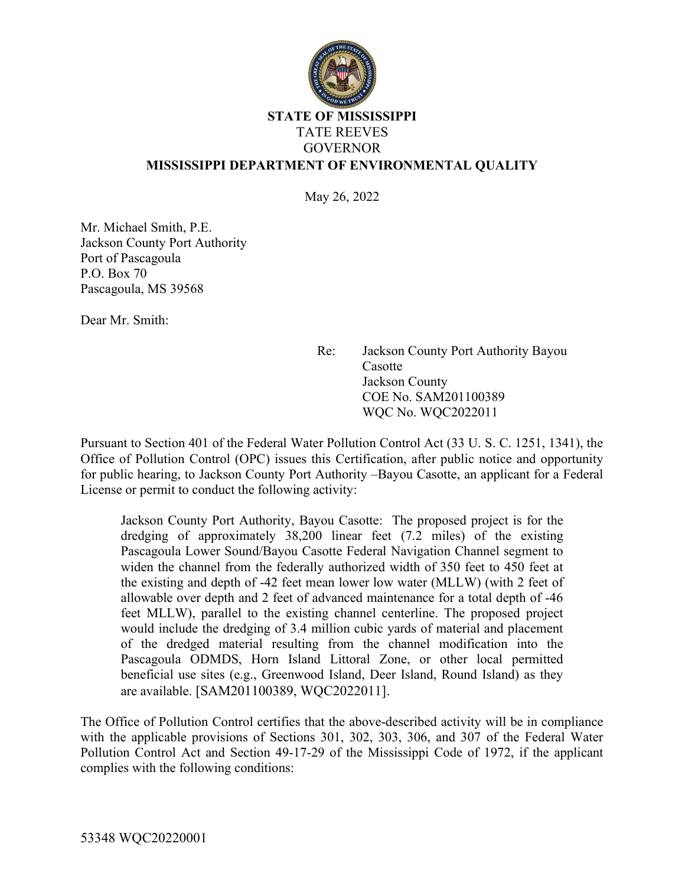

## STATE OF MISSISSIPPI TATE REEVES GOVERNOR MISSISSIPPI DEPARTMENT OF ENVIRONMENTAL QUALITY

May 26, 2022

Mr. Michael Smith, P.E. Jackson County Port Authority Port of Pascagoula P.O. Box 70 Pascagoula, MS 39568

Dear Mr. Smith:

Re: Jackson County Port Authority Bayou **Casotte** Jackson County COE No. SAM201100389 WQC No. WQC2022011

Pursuant to Section 401 of the Federal Water Pollution Control Act (33 U. S. C. 1251, 1341), the Office of Pollution Control (OPC) issues this Certification, after public notice and opportunity for public hearing, to Jackson County Port Authority –Bayou Casotte, an applicant for a Federal License or permit to conduct the following activity:

Jackson County Port Authority, Bayou Casotte: The proposed project is for the dredging of approximately 38,200 linear feet (7.2 miles) of the existing Pascagoula Lower Sound/Bayou Casotte Federal Navigation Channel segment to widen the channel from the federally authorized width of 350 feet to 450 feet at the existing and depth of -42 feet mean lower low water (MLLW) (with 2 feet of allowable over depth and 2 feet of advanced maintenance for a total depth of -46 feet MLLW), parallel to the existing channel centerline. The proposed project would include the dredging of 3.4 million cubic yards of material and placement of the dredged material resulting from the channel modification into the Pascagoula ODMDS, Horn Island Littoral Zone, or other local permitted beneficial use sites (e.g., Greenwood Island, Deer Island, Round Island) as they are available. [SAM201100389, WQC2022011].

The Office of Pollution Control certifies that the above-described activity will be in compliance with the applicable provisions of Sections 301, 302, 303, 306, and 307 of the Federal Water Pollution Control Act and Section 49-17-29 of the Mississippi Code of 1972, if the applicant complies with the following conditions: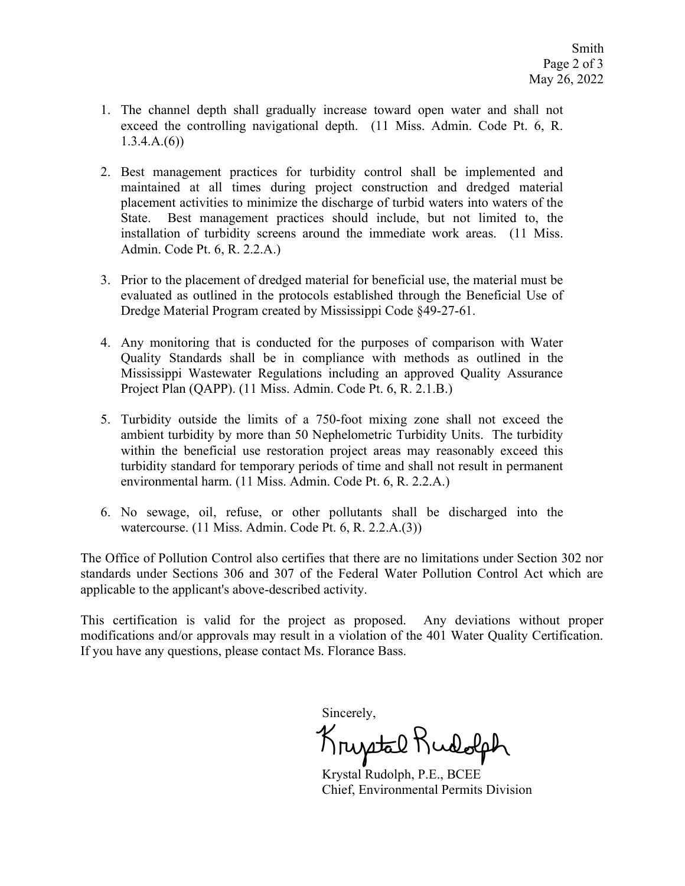- 1. The channel depth shall gradually increase toward open water and shall not exceed the controlling navigational depth. (11 Miss. Admin. Code Pt. 6, R.  $1.3.4.A.(6)$
- 2. Best management practices for turbidity control shall be implemented and maintained at all times during project construction and dredged material placement activities to minimize the discharge of turbid waters into waters of the State. Best management practices should include, but not limited to, the installation of turbidity screens around the immediate work areas. (11 Miss. Admin. Code Pt. 6, R. 2.2.A.)
- 3. Prior to the placement of dredged material for beneficial use, the material must be evaluated as outlined in the protocols established through the Beneficial Use of Dredge Material Program created by Mississippi Code §49-27-61.
- 4. Any monitoring that is conducted for the purposes of comparison with Water Quality Standards shall be in compliance with methods as outlined in the Mississippi Wastewater Regulations including an approved Quality Assurance Project Plan (QAPP). (11 Miss. Admin. Code Pt. 6, R. 2.1.B.)
- 5. Turbidity outside the limits of a 750-foot mixing zone shall not exceed the ambient turbidity by more than 50 Nephelometric Turbidity Units. The turbidity within the beneficial use restoration project areas may reasonably exceed this turbidity standard for temporary periods of time and shall not result in permanent environmental harm. (11 Miss. Admin. Code Pt. 6, R. 2.2.A.)
- 6. No sewage, oil, refuse, or other pollutants shall be discharged into the watercourse. (11 Miss. Admin. Code Pt. 6, R. 2.2.A.(3))

The Office of Pollution Control also certifies that there are no limitations under Section 302 nor standards under Sections 306 and 307 of the Federal Water Pollution Control Act which are applicable to the applicant's above-described activity.

This certification is valid for the project as proposed. Any deviations without proper modifications and/or approvals may result in a violation of the 401 Water Quality Certification. If you have any questions, please contact Ms. Florance Bass.

Sincerely,

Kruptal Rudolph

 Krystal Rudolph, P.E., BCEE Chief, Environmental Permits Division